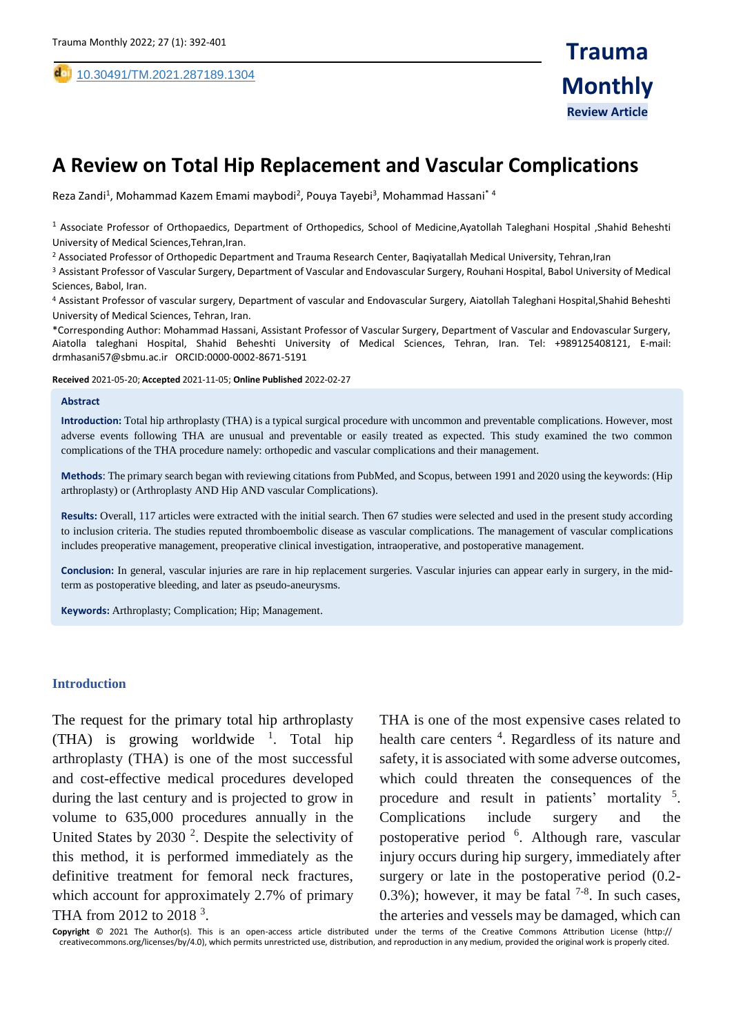,

# **A Review on Total Hip Replacement and Vascular Complications**

Reza Zandi<sup>1</sup>, Mohammad Kazem Emami maybodi<sup>2</sup>, Pouya Tayebi<sup>3</sup>, Mohammad Hassani<sup>\* 4</sup>

<sup>1</sup> Associate Professor of Orthopaedics, Department of Orthopedics, School of Medicine,Ayatollah Taleghani Hospital ,Shahid Beheshti University of Medical Sciences,Tehran,Iran.

<sup>2</sup> Associated Professor of Orthopedic Department and Trauma Research Center, Baqiyatallah Medical University, Tehran,Iran

<sup>3</sup> Assistant Professor of Vascular Surgery, Department of Vascular and Endovascular Surgery, Rouhani Hospital, Babol University of Medical Sciences, Babol, Iran.

<sup>4</sup> Assistant Professor of vascular surgery, Department of vascular and Endovascular Surgery, Aiatollah Taleghani Hospital,Shahid Beheshti University of Medical Sciences, Tehran, Iran.

\*Corresponding Author: Mohammad Hassani, Assistant Professor of Vascular Surgery, Department of Vascular and Endovascular Surgery, Aiatolla taleghani Hospital, Shahid Beheshti University of Medical Sciences, Tehran, Iran. Tel: +989125408121, E-mail: drmhasani57@sbmu.ac.ir ORCID:0000-0002-8671-5191

**Received** 2021-05-20; **Accepted** 2021-11-05; **Online Published** 2022-02-27

#### **Abstract**

**Introduction:** Total hip arthroplasty (THA) is a typical surgical procedure with uncommon and preventable complications. However, most adverse events following THA are unusual and preventable or easily treated as expected. This study examined the two common complications of the THA procedure namely: orthopedic and vascular complications and their management.

**Methods**: The primary search began with reviewing citations from PubMed, and Scopus, between 1991 and 2020 using the keywords: (Hip arthroplasty) or (Arthroplasty AND Hip AND vascular Complications).

**Results:** Overall, 117 articles were extracted with the initial search. Then 67 studies were selected and used in the present study according to inclusion criteria. The studies reputed thromboembolic disease as vascular complications. The management of vascular complications includes preoperative management, preoperative clinical investigation, intraoperative, and postoperative management.

**Conclusion:** In general, vascular injuries are rare in hip replacement surgeries. Vascular injuries can appear early in surgery, in the midterm as postoperative bleeding, and later as pseudo-aneurysms.

**Keywords:** Arthroplasty; Complication; Hip; Management.

#### **Introduction**

The request for the primary total hip arthroplasty (THA) is growing worldwide  $\frac{1}{1}$ . Total hip arthroplasty (THA) is one of the most successful and cost-effective medical procedures developed during the last century and is projected to grow in volume to 635,000 procedures annually in the United States by  $2030<sup>2</sup>$ . Despite the selectivity of this method, it is performed immediately as the definitive treatment for femoral neck fractures, which account for approximately 2.7% of primary THA from 2012 to 2018<sup>3</sup>.

THA is one of the most expensive cases related to health care centers <sup>4</sup>. Regardless of its nature and safety, it is associated with some adverse outcomes, which could threaten the consequences of the procedure and result in patients' mortality <sup>5</sup>. Complications include surgery and the postoperative period <sup>6</sup>. Although rare, vascular injury occurs during hip surgery, immediately after surgery or late in the postoperative period (0.2- 0.3%); however, it may be fatal  $7-8$ . In such cases, the arteries and vessels may be damaged, which can

**Copyright** © 2021 The Author(s). This is an open-access article distributed under the terms of the Creative Commons Attribution License (http:// creativecommons.org/licenses/by/4.0), which permits unrestricted use, distribution, and reproduction in any medium, provided the original work is properly cited.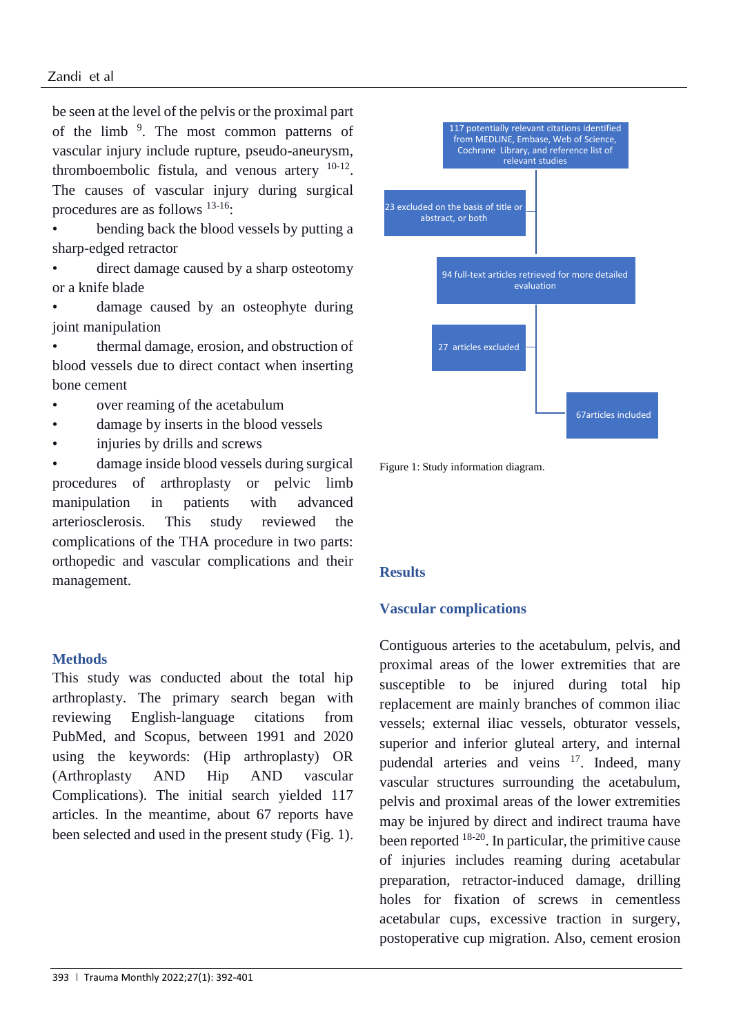be seen at the level of the pelvis or the proximal part of the limb <sup>9</sup>. The most common patterns of vascular injury include rupture, pseudo-aneurysm, thromboembolic fistula, and venous artery  $10-12$ . The causes of vascular injury during surgical procedures are as follows 13-16:

• bending back the blood vessels by putting a sharp-edged retractor

direct damage caused by a sharp osteotomy or a knife blade

damage caused by an osteophyte during joint manipulation

• thermal damage, erosion, and obstruction of blood vessels due to direct contact when inserting bone cement

- over reaming of the acetabulum
- damage by inserts in the blood vessels
- injuries by drills and screws

damage inside blood vessels during surgical procedures of arthroplasty or pelvic limb manipulation in patients with advanced arteriosclerosis. This study reviewed the complications of the THA procedure in two parts: orthopedic and vascular complications and their management.

### **Methods**

This study was conducted about the total hip arthroplasty. The primary search began with reviewing English-language citations from PubMed, and Scopus, between 1991 and 2020 using the keywords: (Hip arthroplasty) OR (Arthroplasty AND Hip AND vascular Complications). The initial search yielded 117 articles. In the meantime, about 67 reports have been selected and used in the present study (Fig. 1).



Figure 1: Study information diagram.

# **Results**

# **Vascular complications**

Contiguous arteries to the acetabulum, pelvis, and proximal areas of the lower extremities that are susceptible to be injured during total hip replacement are mainly branches of common iliac vessels; external iliac vessels, obturator vessels, superior and inferior gluteal artery, and internal pudendal arteries and veins <sup>17</sup>. Indeed, many vascular structures surrounding the acetabulum, pelvis and proximal areas of the lower extremities may be injured by direct and indirect trauma have been reported  $18-20$ . In particular, the primitive cause of injuries includes reaming during acetabular preparation, retractor-induced damage, drilling holes for fixation of screws in cementless acetabular cups, excessive traction in surgery, postoperative cup migration. Also, cement erosion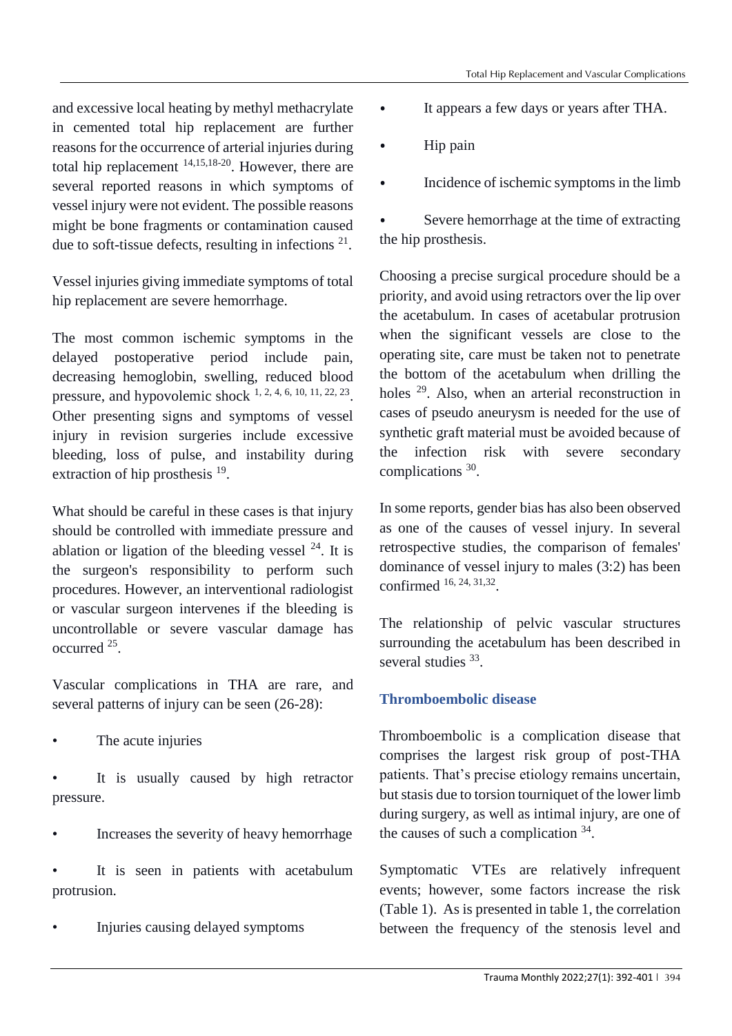and excessive local heating by methyl methacrylate in cemented total hip replacement are further reasons for the occurrence of arterial injuries during total hip replacement 14,15,18-20. However, there are several reported reasons in which symptoms of vessel injury were not evident. The possible reasons might be bone fragments or contamination caused due to soft-tissue defects, resulting in infections  $21$ .

Vessel injuries giving immediate symptoms of total hip replacement are severe hemorrhage.

The most common ischemic symptoms in the delayed postoperative period include pain, decreasing hemoglobin, swelling, reduced blood pressure, and hypovolemic shock  $1, 2, 4, 6, 10, 11, 22, 23$ . Other presenting signs and symptoms of vessel injury in revision surgeries include excessive bleeding, loss of pulse, and instability during extraction of hip prosthesis  $19$ .

What should be careful in these cases is that injury should be controlled with immediate pressure and ablation or ligation of the bleeding vessel  $^{24}$ . It is the surgeon's responsibility to perform such procedures. However, an interventional radiologist or vascular surgeon intervenes if the bleeding is uncontrollable or severe vascular damage has occurred <sup>25</sup> .

Vascular complications in THA are rare, and several patterns of injury can be seen (26-28):

The acute injuries

It is usually caused by high retractor pressure.

• Increases the severity of heavy hemorrhage

It is seen in patients with acetabulum protrusion.

• Injuries causing delayed symptoms

- ⦁ It appears a few days or years after THA.
- Hip pain
- ⦁ Incidence of ischemic symptoms in the limb
- ⦁ Severe hemorrhage at the time of extracting the hip prosthesis.

Choosing a precise surgical procedure should be a priority, and avoid using retractors over the lip over the acetabulum. In cases of acetabular protrusion when the significant vessels are close to the operating site, care must be taken not to penetrate the bottom of the acetabulum when drilling the holes <sup>29</sup>. Also, when an arterial reconstruction in cases of pseudo aneurysm is needed for the use of synthetic graft material must be avoided because of the infection risk with severe secondary complications 30.

In some reports, gender bias has also been observed as one of the causes of vessel injury. In several retrospective studies, the comparison of females' dominance of vessel injury to males (3:2) has been confirmed 16, 24, 31,32 .

The relationship of pelvic vascular structures surrounding the acetabulum has been described in several studies <sup>33</sup>.

# **Thromboembolic disease**

Thromboembolic is a complication disease that comprises the largest risk group of post-THA patients. That's precise etiology remains uncertain, but stasis due to torsion tourniquet of the lower limb during surgery, as well as intimal injury, are one of the causes of such a complication <sup>34</sup>.

Symptomatic VTEs are relatively infrequent events; however, some factors increase the risk (Table 1). As is presented in table 1, the correlation between the frequency of the stenosis level and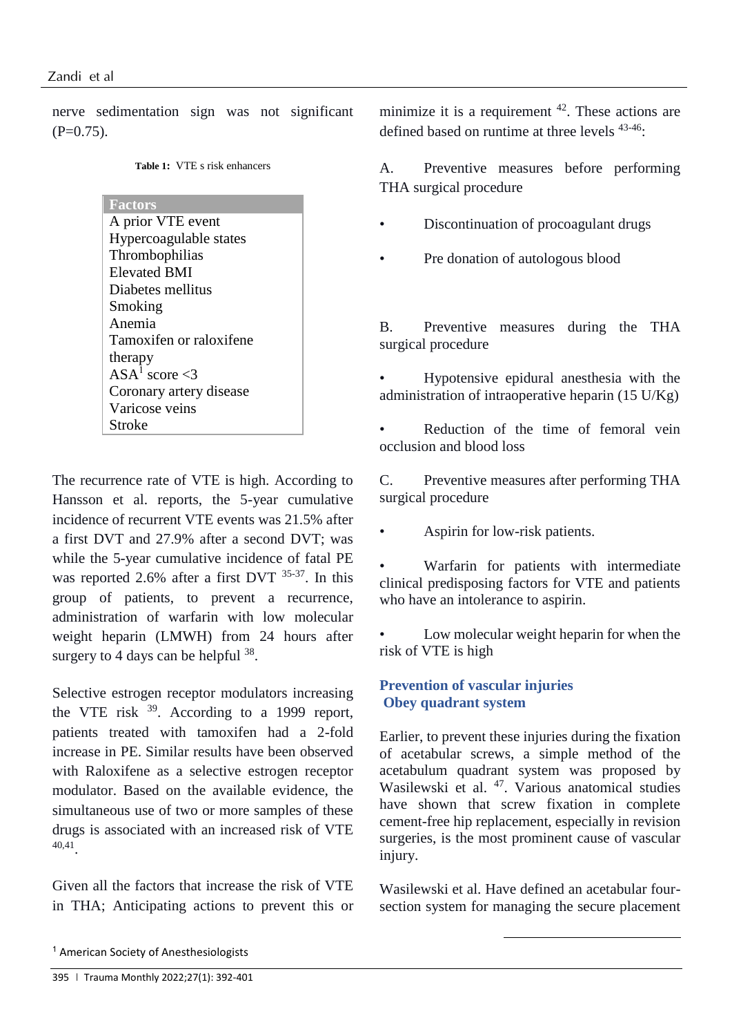nerve sedimentation sign was not significant  $(P=0.75)$ .

**Factors**

A prior VTE event Hypercoagulable states Thrombophilias Elevated BMI Diabetes mellitus Smoking Anemia Tamoxifen or raloxifene therapy ASA<sup>1</sup> score  $\leq$ 3 Coronary artery disease Varicose veins Stroke

The recurrence rate of VTE is high. According to Hansson et al. reports, the 5-year cumulative incidence of recurrent VTE events was 21.5% after a first DVT and 27.9% after a second DVT; was while the 5-year cumulative incidence of fatal PE was reported 2.6% after a first DVT  $35-37$ . In this group of patients, to prevent a recurrence, administration of warfarin with low molecular weight heparin (LMWH) from 24 hours after surgery to 4 days can be helpful  $38$ .

Selective estrogen receptor modulators increasing the VTE risk <sup>39</sup>. According to a 1999 report, patients treated with tamoxifen had a 2-fold increase in PE. Similar results have been observed with Raloxifene as a selective estrogen receptor modulator. Based on the available evidence, the simultaneous use of two or more samples of these drugs is associated with an increased risk of VTE 40,41 .

Given all the factors that increase the risk of VTE in THA; Anticipating actions to prevent this or minimize it is a requirement  $42$ . These actions are defined based on runtime at three levels 43-46:

A. Preventive measures before performing THA surgical procedure

- Discontinuation of procoagulant drugs
- Pre donation of autologous blood

B. Preventive measures during the THA surgical procedure

• Hypotensive epidural anesthesia with the administration of intraoperative heparin (15 U/Kg)

Reduction of the time of femoral vein occlusion and blood loss

C. Preventive measures after performing THA surgical procedure

• Aspirin for low-risk patients.

• Warfarin for patients with intermediate clinical predisposing factors for VTE and patients who have an intolerance to aspirin.

Low molecular weight heparin for when the risk of VTE is high

# **Prevention of vascular injuries Obey quadrant system**

Earlier, to prevent these injuries during the fixation of acetabular screws, a simple method of the acetabulum quadrant system was proposed by Wasilewski et al. <sup>47</sup>. Various anatomical studies have shown that screw fixation in complete cement-free hip replacement, especially in revision surgeries, is the most prominent cause of vascular injury.

Wasilewski et al. Have defined an acetabular foursection system for managing the secure placement

1

<sup>1</sup> American Society of Anesthesiologists

<sup>395</sup> | Trauma Monthly 2022;27(1): 392-401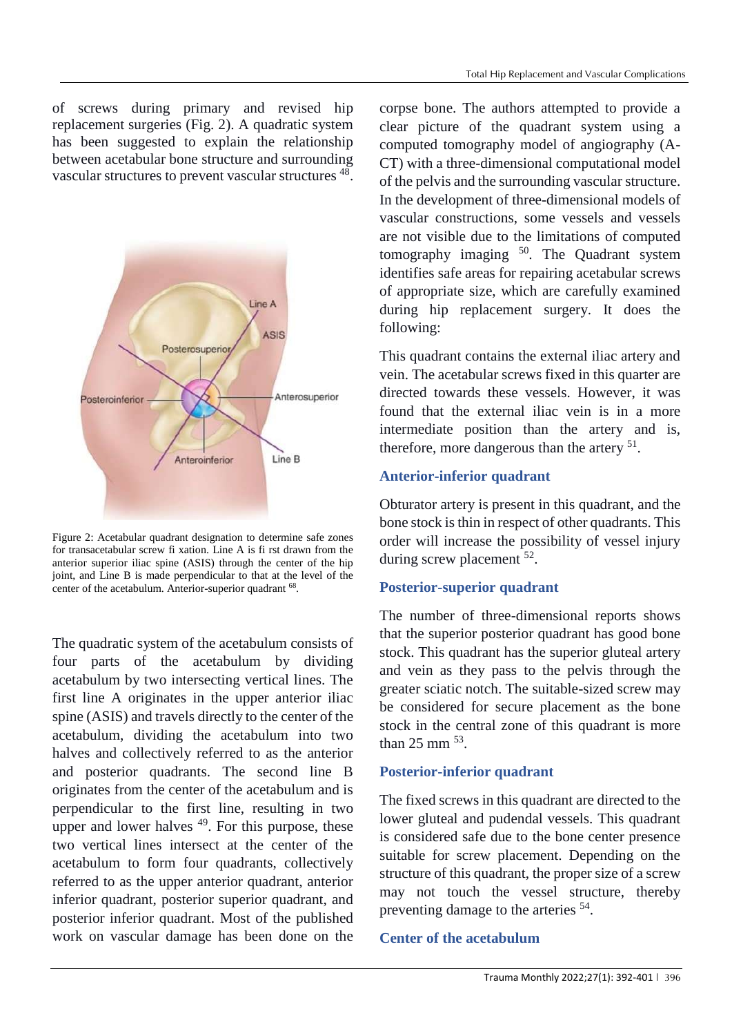of screws during primary and revised hip replacement surgeries (Fig. 2). A quadratic system has been suggested to explain the relationship between acetabular bone structure and surrounding vascular structures to prevent vascular structures <sup>48</sup>.



Figure 2: Acetabular quadrant designation to determine safe zones for transacetabular screw fi xation. Line A is fi rst drawn from the anterior superior iliac spine (ASIS) through the center of the hip joint, and Line B is made perpendicular to that at the level of the center of the acetabulum. Anterior-superior quadrant <sup>68</sup>.

The quadratic system of the acetabulum consists of four parts of the acetabulum by dividing acetabulum by two intersecting vertical lines. The first line A originates in the upper anterior iliac spine (ASIS) and travels directly to the center of the acetabulum, dividing the acetabulum into two halves and collectively referred to as the anterior and posterior quadrants. The second line B originates from the center of the acetabulum and is perpendicular to the first line, resulting in two upper and lower halves  $49$ . For this purpose, these two vertical lines intersect at the center of the acetabulum to form four quadrants, collectively referred to as the upper anterior quadrant, anterior inferior quadrant, posterior superior quadrant, and posterior inferior quadrant. Most of the published work on vascular damage has been done on the

corpse bone. The authors attempted to provide a clear picture of the quadrant system using a computed tomography model of angiography (A-CT) with a three-dimensional computational model of the pelvis and the surrounding vascular structure. In the development of three-dimensional models of vascular constructions, some vessels and vessels are not visible due to the limitations of computed tomography imaging  $50$ . The Quadrant system identifies safe areas for repairing acetabular screws of appropriate size, which are carefully examined during hip replacement surgery. It does the following:

This quadrant contains the external iliac artery and vein. The acetabular screws fixed in this quarter are directed towards these vessels. However, it was found that the external iliac vein is in a more intermediate position than the artery and is, therefore, more dangerous than the artery <sup>51</sup>.

### **Anterior-inferior quadrant**

Obturator artery is present in this quadrant, and the bone stock is thin in respect of other quadrants. This order will increase the possibility of vessel injury during screw placement <sup>52</sup>.

### **Posterior-superior quadrant**

The number of three-dimensional reports shows that the superior posterior quadrant has good bone stock. This quadrant has the superior gluteal artery and vein as they pass to the pelvis through the greater sciatic notch. The suitable-sized screw may be considered for secure placement as the bone stock in the central zone of this quadrant is more than  $25$  mm  $<sup>53</sup>$ .</sup>

### **Posterior-inferior quadrant**

The fixed screws in this quadrant are directed to the lower gluteal and pudendal vessels. This quadrant is considered safe due to the bone center presence suitable for screw placement. Depending on the structure of this quadrant, the proper size of a screw may not touch the vessel structure, thereby preventing damage to the arteries <sup>54</sup>.

### **Center of the acetabulum**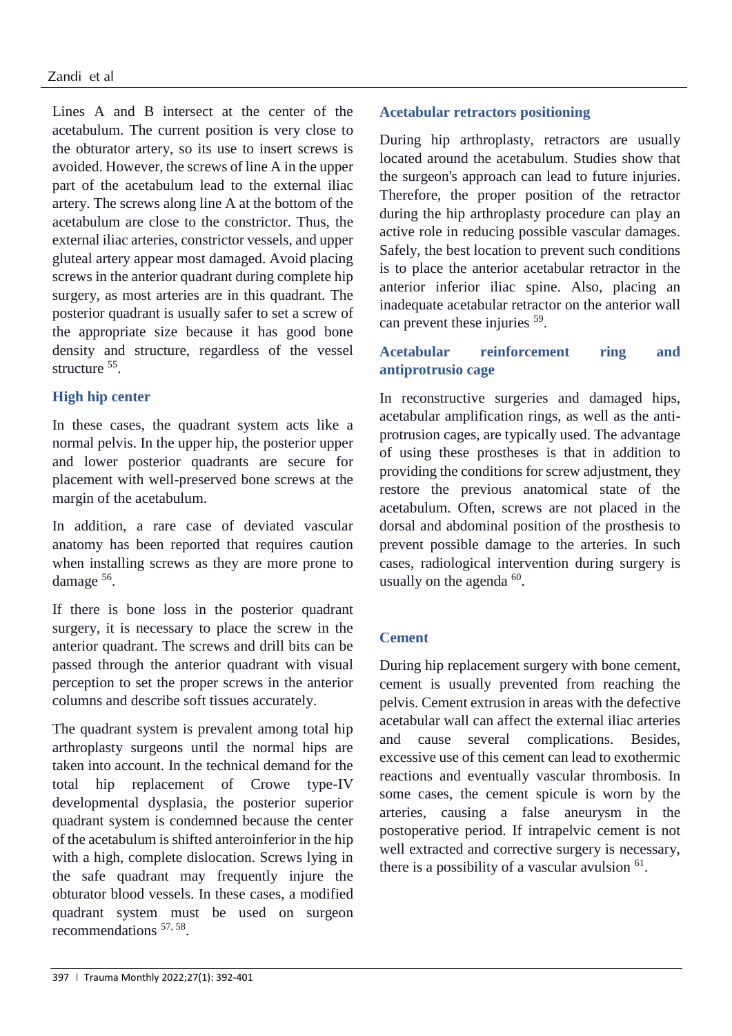Lines A and B intersect at the center of the acetabulum. The current position is very close to the obturator artery, so its use to insert screws is avoided. However, the screws of line A in the upper part of the acetabulum lead to the external iliac artery. The screws along line A at the bottom of the acetabulum are close to the constrictor. Thus, the external iliac arteries, constrictor vessels, and upper gluteal artery appear most damaged. Avoid placing screws in the anterior quadrant during complete hip surgery, as most arteries are in this quadrant. The posterior quadrant is usually safer to set a screw of the appropriate size because it has good bone density and structure, regardless of the vessel structure <sup>55</sup>.

# **High hip center**

In these cases, the quadrant system acts like a normal pelvis. In the upper hip, the posterior upper and lower posterior quadrants are secure for placement with well-preserved bone screws at the margin of the acetabulum.

In addition, a rare case of deviated vascular anatomy has been reported that requires caution when installing screws as they are more prone to damage <sup>56</sup>.

If there is bone loss in the posterior quadrant surgery, it is necessary to place the screw in the anterior quadrant. The screws and drill bits can be passed through the anterior quadrant with visual perception to set the proper screws in the anterior columns and describe soft tissues accurately.

The quadrant system is prevalent among total hip arthroplasty surgeons until the normal hips are taken into account. In the technical demand for the total hip replacement of Crowe type-IV developmental dysplasia, the posterior superior quadrant system is condemned because the center of the acetabulum is shifted anteroinferior in the hip with a high, complete dislocation. Screws lying in the safe quadrant may frequently injure the obturator blood vessels. In these cases, a modified quadrant system must be used on surgeon recommendations <sup>57, 58</sup>.

# **Acetabular retractors positioning**

During hip arthroplasty, retractors are usually located around the acetabulum. Studies show that the surgeon's approach can lead to future injuries. Therefore, the proper position of the retractor during the hip arthroplasty procedure can play an active role in reducing possible vascular damages. Safely, the best location to prevent such conditions is to place the anterior acetabular retractor in the anterior inferior iliac spine. Also, placing an inadequate acetabular retractor on the anterior wall can prevent these injuries <sup>59</sup>.

# **Acetabular reinforcement ring and antiprotrusio cage**

In reconstructive surgeries and damaged hips, acetabular amplification rings, as well as the antiprotrusion cages, are typically used. The advantage of using these prostheses is that in addition to providing the conditions for screw adjustment, they restore the previous anatomical state of the acetabulum. Often, screws are not placed in the dorsal and abdominal position of the prosthesis to prevent possible damage to the arteries. In such cases, radiological intervention during surgery is usually on the agenda  $60$ .

# **Cement**

During hip replacement surgery with bone cement, cement is usually prevented from reaching the pelvis. Cement extrusion in areas with the defective acetabular wall can affect the external iliac arteries and cause several complications. Besides, excessive use of this cement can lead to exothermic reactions and eventually vascular thrombosis. In some cases, the cement spicule is worn by the arteries, causing a false aneurysm in the postoperative period. If intrapelvic cement is not well extracted and corrective surgery is necessary, there is a possibility of a vascular avulsion  $61$ .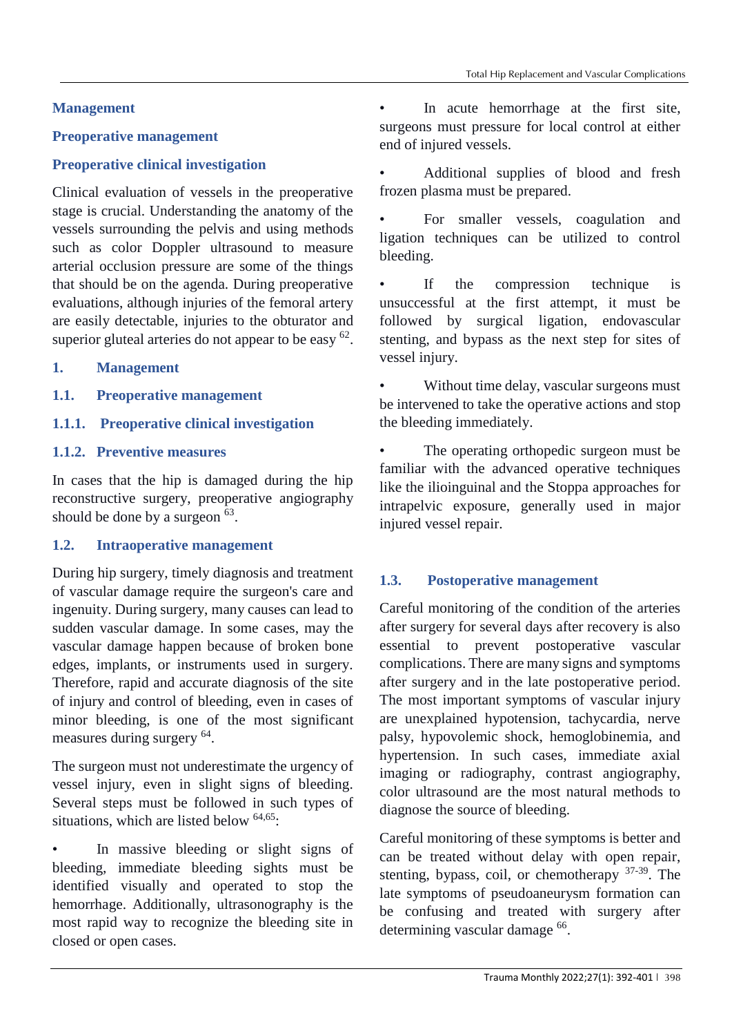# **Management**

# **Preoperative management**

# **Preoperative clinical investigation**

Clinical evaluation of vessels in the preoperative stage is crucial. Understanding the anatomy of the vessels surrounding the pelvis and using methods such as color Doppler ultrasound to measure arterial occlusion pressure are some of the things that should be on the agenda. During preoperative evaluations, although injuries of the femoral artery are easily detectable, injuries to the obturator and superior gluteal arteries do not appear to be easy  $62$ .

# **1. Management**

**1.1. Preoperative management**

# **1.1.1. Preoperative clinical investigation**

## **1.1.2. Preventive measures**

In cases that the hip is damaged during the hip reconstructive surgery, preoperative angiography should be done by a surgeon  $63$ .

## **1.2. Intraoperative management**

During hip surgery, timely diagnosis and treatment of vascular damage require the surgeon's care and ingenuity. During surgery, many causes can lead to sudden vascular damage. In some cases, may the vascular damage happen because of broken bone edges, implants, or instruments used in surgery. Therefore, rapid and accurate diagnosis of the site of injury and control of bleeding, even in cases of minor bleeding, is one of the most significant measures during surgery <sup>64</sup>.

The surgeon must not underestimate the urgency of vessel injury, even in slight signs of bleeding. Several steps must be followed in such types of situations, which are listed below  $64,65$ .

In massive bleeding or slight signs of bleeding, immediate bleeding sights must be identified visually and operated to stop the hemorrhage. Additionally, ultrasonography is the most rapid way to recognize the bleeding site in closed or open cases.

In acute hemorrhage at the first site, surgeons must pressure for local control at either end of injured vessels.

• Additional supplies of blood and fresh frozen plasma must be prepared.

For smaller vessels, coagulation and ligation techniques can be utilized to control bleeding.

If the compression technique is unsuccessful at the first attempt, it must be followed by surgical ligation, endovascular stenting, and bypass as the next step for sites of vessel injury.

Without time delay, vascular surgeons must be intervened to take the operative actions and stop the bleeding immediately.

The operating orthopedic surgeon must be familiar with the advanced operative techniques like the ilioinguinal and the Stoppa approaches for intrapelvic exposure, generally used in major injured vessel repair.

# **1.3. Postoperative management**

Careful monitoring of the condition of the arteries after surgery for several days after recovery is also essential to prevent postoperative vascular complications. There are many signs and symptoms after surgery and in the late postoperative period. The most important symptoms of vascular injury are unexplained hypotension, tachycardia, nerve palsy, hypovolemic shock, hemoglobinemia, and hypertension. In such cases, immediate axial imaging or radiography, contrast angiography, color ultrasound are the most natural methods to diagnose the source of bleeding.

Careful monitoring of these symptoms is better and can be treated without delay with open repair, stenting, bypass, coil, or chemotherapy 37-39. The late symptoms of pseudoaneurysm formation can be confusing and treated with surgery after determining vascular damage <sup>66</sup>.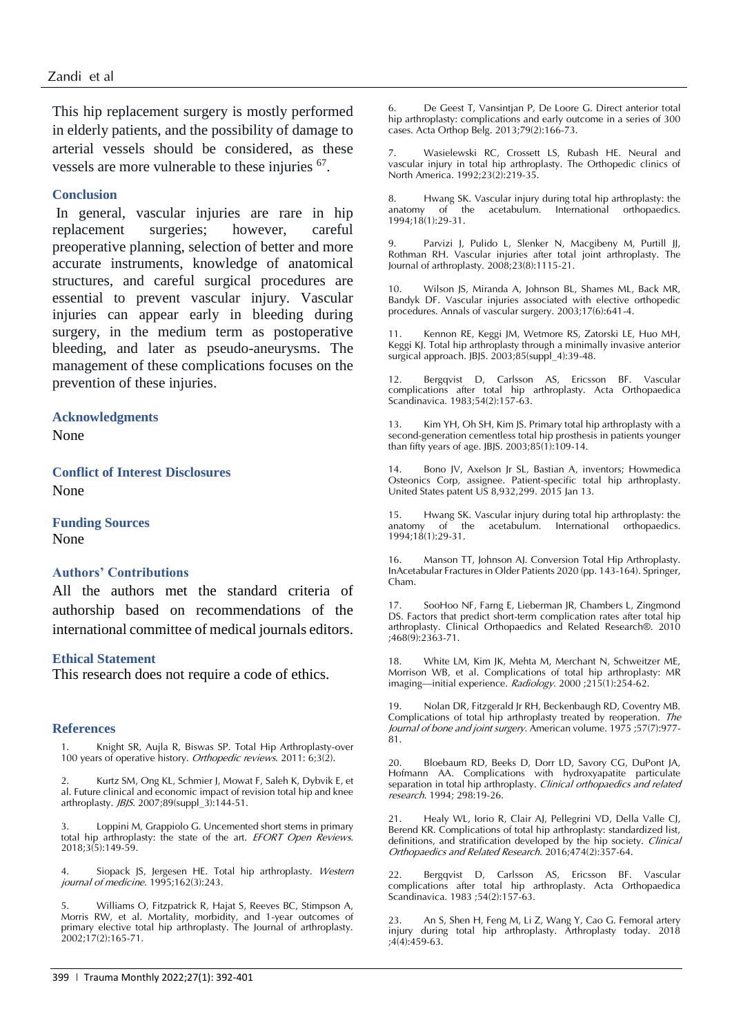This hip replacement surgery is mostly performed in elderly patients, and the possibility of damage to arterial vessels should be considered, as these vessels are more vulnerable to these injuries  $67$ .

### **Conclusion**

In general, vascular injuries are rare in hip replacement surgeries; however, careful preoperative planning, selection of better and more accurate instruments, knowledge of anatomical structures, and careful surgical procedures are essential to prevent vascular injury. Vascular injuries can appear early in bleeding during surgery, in the medium term as postoperative bleeding, and later as pseudo-aneurysms. The management of these complications focuses on the prevention of these injuries.

### **Acknowledgments**

None

**Conflict of Interest Disclosures** None

**Funding Sources** None

### **Authors' Contributions**

All the authors met the standard criteria of authorship based on recommendations of the international committee of medical journals editors.

#### **Ethical Statement**

This research does not require a code of ethics.

#### **References**

1. Knight SR, Aujla R, Biswas SP. Total Hip Arthroplasty-over 100 years of operative history. Orthopedic reviews. 2011: 6;3(2).

2. Kurtz SM, Ong KL, Schmier J, Mowat F, Saleh K, Dybvik E, et al. Future clinical and economic impact of revision total hip and knee arthroplasty. JBJS. 2007;89(suppl\_3):144-51.

3. Loppini M, Grappiolo G. Uncemented short stems in primary total hip arthroplasty: the state of the art. EFORT Open Reviews. 2018;3(5):149-59.

4. Siopack JS, Jergesen HE. Total hip arthroplasty. Western journal of medicine. 1995;162(3):243.

5. Williams O, Fitzpatrick R, Hajat S, Reeves BC, Stimpson A, Morris RW, et al. Mortality, morbidity, and 1-year outcomes of primary elective total hip arthroplasty. The Journal of arthroplasty.  $2002;17(2):165-71.$ 

De Geest T, Vansintjan P, De Loore G. Direct anterior total hip arthroplasty: complications and early outcome in a series of 300 cases. Acta Orthop Belg. 2013;79(2):166-73.

7. Wasielewski RC, Crossett LS, Rubash HE. Neural and vascular injury in total hip arthroplasty. The Orthopedic clinics of North America. 1992;23(2):219-35.

8. Hwang SK. Vascular injury during total hip arthroplasty: the anatomy of the acetabulum. International orthopaedics. 1994;18(1):29-31.

9. Parvizi J, Pulido L, Slenker N, Macgibeny M, Purtill JJ, Rothman RH. Vascular injuries after total joint arthroplasty. The Journal of arthroplasty. 2008;23(8):1115-21.

10. Wilson JS, Miranda A, Johnson BL, Shames ML, Back MR, Bandyk DF. Vascular injuries associated with elective orthopedic procedures. Annals of vascular surgery. 2003;17(6):641-4.

Kennon RE, Keggi JM, Wetmore RS, Zatorski LE, Huo MH, Keggi KJ. Total hip arthroplasty through a minimally invasive anterior surgical approach. JBJS.  $2003; 85$ (suppl 4):39-48.

Bergqvist D, Carlsson AS, Ericsson BF. Vascular complications after total hip arthroplasty. Acta Orthopaedica Scandinavica. 1983;54(2):157-63.

13. Kim YH, Oh SH, Kim JS. Primary total hip arthroplasty with a second-generation cementless total hip prosthesis in patients younger than fifty years of age. JBJS. 2003;85(1):109-14.

14. Bono JV, Axelson Jr SL, Bastian A, inventors; Howmedica Osteonics Corp, assignee. Patient-specific total hip arthroplasty. United States patent US 8,932,299. 2015 Jan 13.

15. Hwang SK. Vascular injury during total hip arthroplasty: the the acetabulum. International orthopaedics. 1994;18(1):29-31.

16. Manson TT, Johnson AJ. Conversion Total Hip Arthroplasty. InAcetabular Fractures in Older Patients 2020 (pp. 143-164). Springer, Cham.

SooHoo NF, Farng E, Lieberman JR, Chambers L, Zingmond DS. Factors that predict short-term complication rates after total hip arthroplasty. Clinical Orthopaedics and Related Research®. 2010 ;468(9):2363-71.

18. White LM, Kim JK, Mehta M, Merchant N, Schweitzer ME, Morrison WB, et al. Complications of total hip arthroplasty: MR imaging—initial experience. Radiology. 2000 ;215(1):254-62.

19. Nolan DR, Fitzgerald Jr RH, Beckenbaugh RD, Coventry MB. Complications of total hip arthroplasty treated by reoperation. The Journal of bone and joint surgery. American volume. 1975; 57(7): 977-81.

20. Bloebaum RD, Beeks D, Dorr LD, Savory CG, DuPont JA, Hofmann AA. Complications with hydroxyapatite particulate separation in total hip arthroplasty. Clinical orthopaedics and related research. 1994; 298:19-26.

21. Healy WL, Iorio R, Clair AJ, Pellegrini VD, Della Valle CJ, Berend KR. Complications of total hip arthroplasty: standardized list, definitions, and stratification developed by the hip society. Clinical Orthopaedics and Related Research. 2016;474(2):357-64.

22. Bergqvist D, Carlsson AS, Ericsson BF. Vascular complications after total hip arthroplasty. Acta Orthopaedica Scandinavica. 1983 ;54(2):157-63.

23. An S, Shen H, Feng M, Li Z, Wang Y, Cao G. Femoral artery injury during total hip arthroplasty. Arthroplasty today. 2018 ;4(4):459-63.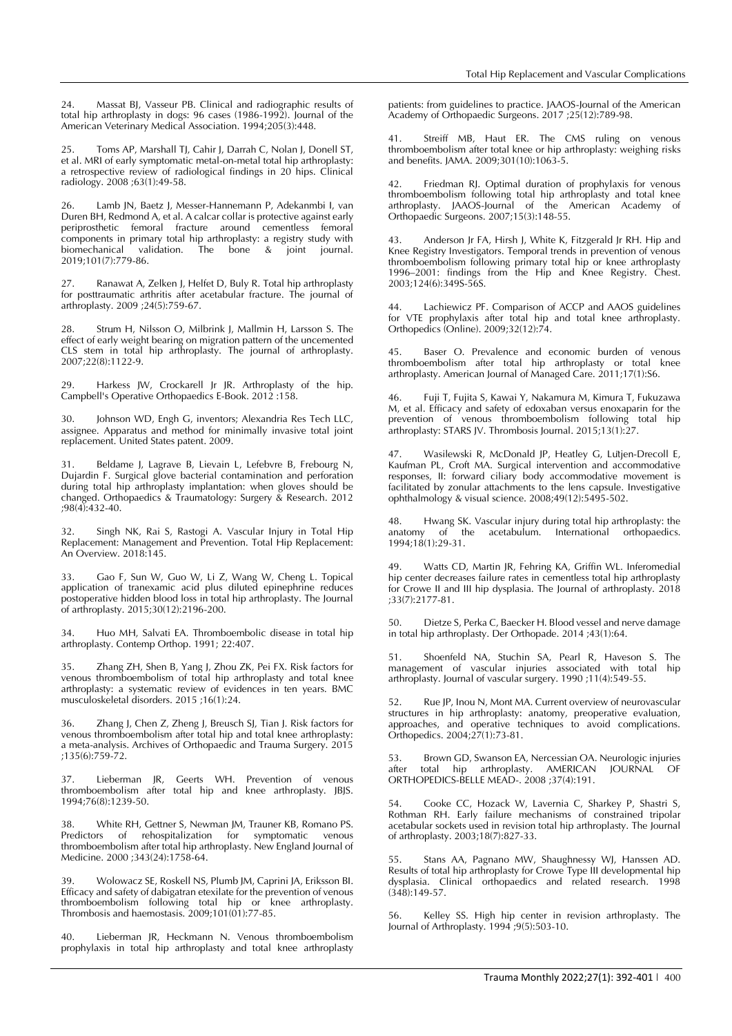24. Massat BJ, Vasseur PB. Clinical and radiographic results of total hip arthroplasty in dogs: 96 cases (1986-1992). Journal of the American Veterinary Medical Association. 1994;205(3):448.

25. Toms AP, Marshall TJ, Cahir J, Darrah C, Nolan J, Donell ST, et al. MRI of early symptomatic metal-on-metal total hip arthroplasty: a retrospective review of radiological findings in 20 hips. Clinical radiology. 2008 ;63(1):49-58.

26. Lamb JN, Baetz J, Messer-Hannemann P, Adekanmbi I, van Duren BH, Redmond A, et al. A calcar collar is protective against early periprosthetic femoral fracture around cementless femoral components in primary total hip arthroplasty: a registry study with<br>biomechanical validation. The bone & joint journal. biomechanical validation. The bone & joint journal. 2019;101(7):779-86.

27. Ranawat A, Zelken J, Helfet D, Buly R. Total hip arthroplasty for posttraumatic arthritis after acetabular fracture. The journal of arthroplasty. 2009 ;24(5):759-67.

Strum H, Nilsson O, Milbrink J, Mallmin H, Larsson S. The effect of early weight bearing on migration pattern of the uncemented CLS stem in total hip arthroplasty. The journal of arthroplasty. 2007;22(8):1122-9.

29. Harkess JW, Crockarell Jr JR. Arthroplasty of the hip. Campbell's Operative Orthopaedics E-Book. 2012 :158.

30. Johnson WD, Engh G, inventors; Alexandria Res Tech LLC, assignee. Apparatus and method for minimally invasive total joint replacement. United States patent. 2009.

31. Beldame J, Lagrave B, Lievain L, Lefebvre B, Frebourg N, Dujardin F. Surgical glove bacterial contamination and perforation during total hip arthroplasty implantation: when gloves should be changed. Orthopaedics & Traumatology: Surgery & Research. 2012 ;98(4):432-40.

32. Singh NK, Rai S, Rastogi A. Vascular Injury in Total Hip Replacement: Management and Prevention. Total Hip Replacement: An Overview. 2018:145.

Gao F, Sun W, Guo W, Li Z, Wang W, Cheng L. Topical application of tranexamic acid plus diluted epinephrine reduces postoperative hidden blood loss in total hip arthroplasty. The Journal of arthroplasty. 2015;30(12):2196-200.

34. Huo MH, Salvati EA. Thromboembolic disease in total hip arthroplasty. Contemp Orthop. 1991; 22:407.

35. Zhang ZH, Shen B, Yang J, Zhou ZK, Pei FX. Risk factors for venous thromboembolism of total hip arthroplasty and total knee arthroplasty: a systematic review of evidences in ten years. BMC musculoskeletal disorders. 2015 ;16(1):24.

36. Zhang J, Chen Z, Zheng J, Breusch SJ, Tian J. Risk factors for venous thromboembolism after total hip and total knee arthroplasty: a meta-analysis. Archives of Orthopaedic and Trauma Surgery. 2015 ;135(6):759-72.

37. Lieberman JR, Geerts WH. Prevention of venous thromboembolism after total hip and knee arthroplasty. JBJS. 1994;76(8):1239-50.

38. White RH, Gettner S, Newman JM, Trauner KB, Romano PS. Predictors of rehospitalization for symptomatic venous thromboembolism after total hip arthroplasty. New England Journal of Medicine. 2000 ;343(24):1758-64.

39. Wolowacz SE, Roskell NS, Plumb JM, Caprini JA, Eriksson BI. Efficacy and safety of dabigatran etexilate for the prevention of venous thromboembolism following total hip or knee arthroplasty. Thrombosis and haemostasis. 2009;101(01):77-85.

40. Lieberman JR, Heckmann N. Venous thromboembolism prophylaxis in total hip arthroplasty and total knee arthroplasty patients: from guidelines to practice. JAAOS-Journal of the American Academy of Orthopaedic Surgeons. 2017 ;25(12):789-98.

41. Streiff MB, Haut ER. The CMS ruling on venous thromboembolism after total knee or hip arthroplasty: weighing risks and benefits. JAMA. 2009;301(10):1063-5.

42. Friedman RJ. Optimal duration of prophylaxis for venous thromboembolism following total hip arthroplasty and total knee arthroplasty. JAAOS-Journal of the American Academy of Orthopaedic Surgeons. 2007;15(3):148-55.

43. Anderson Jr FA, Hirsh J, White K, Fitzgerald Jr RH. Hip and Knee Registry Investigators. Temporal trends in prevention of venous thromboembolism following primary total hip or knee arthroplasty 1996–2001: findings from the Hip and Knee Registry. Chest. 2003;124(6):349S-56S.

Lachiewicz PF. Comparison of ACCP and AAOS guidelines for VTE prophylaxis after total hip and total knee arthroplasty. Orthopedics (Online). 2009;32(12):74.

Baser O. Prevalence and economic burden of venous thromboembolism after total hip arthroplasty or total knee arthroplasty. American Journal of Managed Care. 2011;17(1):S6.

46. Fuji T, Fujita S, Kawai Y, Nakamura M, Kimura T, Fukuzawa M, et al. Efficacy and safety of edoxaban versus enoxaparin for the prevention of venous thromboembolism following total hip arthroplasty: STARS JV. Thrombosis Journal. 2015;13(1):27.

47. Wasilewski R, McDonald JP, Heatley G, Lütjen-Drecoll E, Kaufman PL, Croft MA. Surgical intervention and accommodative responses, II: forward ciliary body accommodative movement is facilitated by zonular attachments to the lens capsule. Investigative ophthalmology & visual science.  $2008;49(12):5495-502$ .

48. Hwang SK. Vascular injury during total hip arthroplasty: the anatomy of the acetabulum. International orthopaedics. 1994;18(1):29-31.

49. Watts CD, Martin JR, Fehring KA, Griffin WL. Inferomedial hip center decreases failure rates in cementless total hip arthroplasty for Crowe II and III hip dysplasia. The Journal of arthroplasty. 2018 ;33(7):2177-81.

50. Dietze S, Perka C, Baecker H. Blood vessel and nerve damage in total hip arthroplasty. Der Orthopade. 2014 ;43(1):64.

51. Shoenfeld NA, Stuchin SA, Pearl R, Haveson S. The management of vascular injuries associated with total hip arthroplasty. Journal of vascular surgery. 1990 ;11(4):549-55.

52. Rue JP, Inou N, Mont MA. Current overview of neurovascular structures in hip arthroplasty: anatomy, preoperative evaluation, approaches, and operative techniques to avoid complications. Orthopedics. 2004;27(1):73-81.

53. Brown GD, Swanson EA, Nercessian OA. Neurologic injuries after total hip arthroplasty. AMERICAN JOURNAL OF ORTHOPEDICS-BELLE MEAD-. 2008 ;37(4):191.

54. Cooke CC, Hozack W, Lavernia C, Sharkey P, Shastri S, Rothman RH. Early failure mechanisms of constrained tripolar acetabular sockets used in revision total hip arthroplasty. The Journal of arthroplasty. 2003;18(7):827-33.

55. Stans AA, Pagnano MW, Shaughnessy WJ, Hanssen AD. Results of total hip arthroplasty for Crowe Type III developmental hip dysplasia. Clinical orthopaedics and related research. 1998  $(348):149-57.$ 

56. Kelley SS. High hip center in revision arthroplasty. The Journal of Arthroplasty. 1994 ;9(5):503-10.